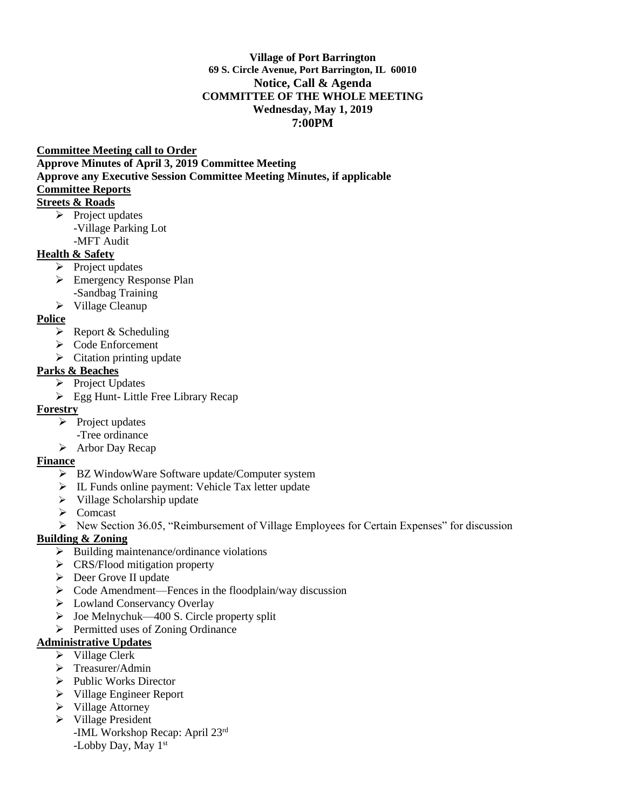#### **Village of Port Barrington 69 S. Circle Avenue, Port Barrington, IL 60010 Notice, Call & Agenda COMMITTEE OF THE WHOLE MEETING Wednesday, May 1, 2019 7:00PM**

#### **Committee Meeting call to Order**

**Approve Minutes of April 3, 2019 Committee Meeting** 

**Approve any Executive Session Committee Meeting Minutes, if applicable** 

## **Committee Reports**

# **Streets & Roads**

- ➢ Project updates
	- -Village Parking Lot
	- -MFT Audit

# **Health & Safety**

- $\triangleright$  Project updates
- ➢ Emergency Response Plan -Sandbag Training
- ➢ Village Cleanup

# **Police**

- $\triangleright$  Report & Scheduling
- ➢ Code Enforcement
- $\triangleright$  Citation printing update

## **Parks & Beaches**

- ➢ Project Updates
- ➢ Egg Hunt- Little Free Library Recap

# **Forestry**

- ➢ Project updates
	- -Tree ordinance
- ➢ Arbor Day Recap

#### **Finance**

- ➢ BZ WindowWare Software update/Computer system
- ➢ IL Funds online payment: Vehicle Tax letter update
- ➢ Village Scholarship update
- ➢ Comcast
- $\triangleright$  New Section 36.05, "Reimbursement of Village Employees for Certain Expenses" for discussion

#### **Building & Zoning**

- $\triangleright$  Building maintenance/ordinance violations
- ➢ CRS/Flood mitigation property
- ➢ Deer Grove II update
- ➢ Code Amendment—Fences in the floodplain/way discussion
- ➢ Lowland Conservancy Overlay
- ➢ Joe Melnychuk—400 S. Circle property split
- ➢ Permitted uses of Zoning Ordinance

#### **Administrative Updates**

- ➢ Village Clerk
- ➢ Treasurer/Admin
- ➢ Public Works Director
- ➢ Village Engineer Report
- ➢ Village Attorney
- ➢ Village President
	- -IML Workshop Recap: April 23rd -Lobby Day, May 1st